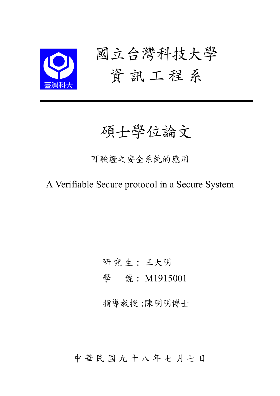

# 碩士學位論文

可驗證之安全系統的應用

A Verifiable Secure protocol in a Secure System

研 究 生: 王大明

學 號: M1915001

指導教授:陳明明博士

中 華 民 國 九 十 八 年 七 月 七 日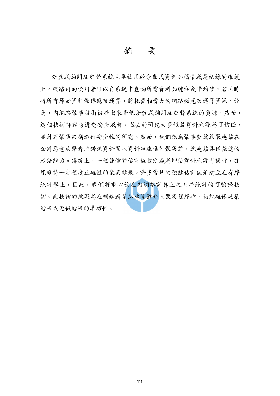摘 要

分散式詢問及監督系統主要被用於分散式資料如檔案或是紀錄的維護 上。網路内的使用者可以自系統中查詢所需資料如總和或平均值,若同時 將所有原始資料做傳遞及運算,將耗費相當大的網路頻寬及運算資源。於 是,内網路聚集技術被提出來降低分散式詢問及監督系統的負擔。然而, 這個技術卻容易遭受安全威脅。過去的研究大多假設資料來源為可信任, 並針對聚集架構進行安全性的研究。然而,我們認為聚集查詢結果應該在 面對惡意攻擊者將錯誤資料置入資料串流進行聚集前,就應該具備強健的 容錯能力。傳統上,一個強健的估計值被定義為即使資料來源有誤時,亦 能維持一定程度正確性的聚集結果。許多常見的強健估計值是建立在有序 統計學上,因此,我們將重心放在內網路計算上之有序統計的可驗證技 術。此技術的挑戰為在網路遭受惡意團體介入聚集程序時,仍能確保聚集 結果或近似結果的準確性。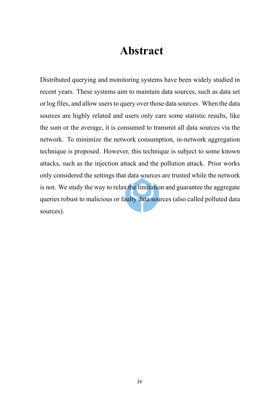### **Abstract**

Distributed querying and monitoring systems have been widely studied in recent years. These systems aim to maintain data sources, such as data set or log files, and allow users to query over those data sources. When the data sources are highly related and users only care some statistic results, like the sum or the average, it is consumed to transmit all data sources via the network. To minimize the network consumption, in-network aggregation technique is proposed. However, this technique is subject to some known attacks, such as the injection attack and the pollution attack. Prior works only considered the settings that data sources are trusted while the network is not. We study the way to relax the limitation and guarantee the aggregate queries robust to malicious or faulty data sources (also called polluted data sources).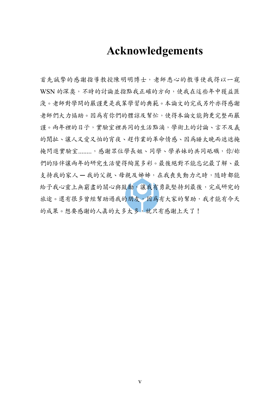### **Acknowledgements**

首先誠摯的感謝指導教授陳明明博士,老師悉心的教導使我得以一窺 WSN 的深奧,不時的討論並指點我正確的方向,使我在這些年中獲益匪 淺。老師對學問的嚴謹更是我輩學習的典範。本論文的完成另外亦得感謝 老師們大力協助。因為有你們的體諒及幫忙,使得本論文能夠更完整而嚴 謹。兩年裡的日子,實驗室裡共同的生活點滴,學術上的討論、言不及義 的閒扯、讓人又愛又怕的宵夜、趕作業的革命情感、因為睡太晚而遮遮掩 掩閃進實驗室 ........, 感謝眾位學長姐、同學、學弟妹的共同砥礪,你/妳 們的陪伴讓兩年的研究生活變得絢麗多彩。最後絕對不能忘記最了解、最 支持我的家人 一我的父親、母親及姊姊,在我喪失動力之時,隨時都能 給予我心靈上無窮盡的關心與鼓勵,讓我有勇氣堅持到最後,完成研究的 旅途。還有很多曾經幫助過我的朋友,因為有大家的幫助,我才能有今天 的成果。想要感謝的人真的太多太多,就只有感謝上天了!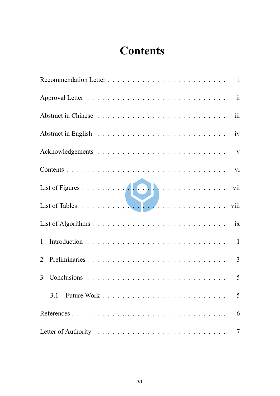## **Contents**

| List of Tables<br>List of Tables<br>List of Tables |                |
|----------------------------------------------------|----------------|
|                                                    |                |
|                                                    |                |
|                                                    |                |
| 3 <sup>1</sup>                                     |                |
|                                                    | 5              |
|                                                    | 6              |
|                                                    | $\overline{7}$ |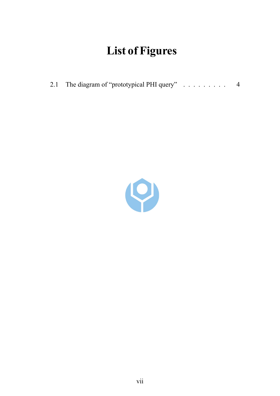## **List of Figures**

| 2.1 The diagram of "prototypical PHI query" |  |
|---------------------------------------------|--|
|                                             |  |

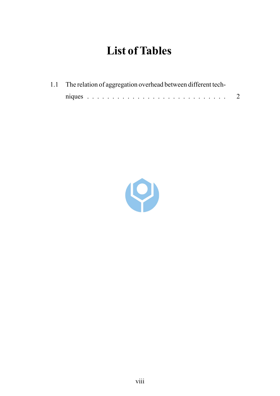## **List of Tables**

| 1.1 The relation of aggregation overhead between different tech- |  |  |  |  |  |
|------------------------------------------------------------------|--|--|--|--|--|
|                                                                  |  |  |  |  |  |

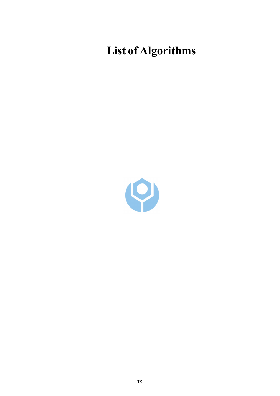# **List of Algorithms**

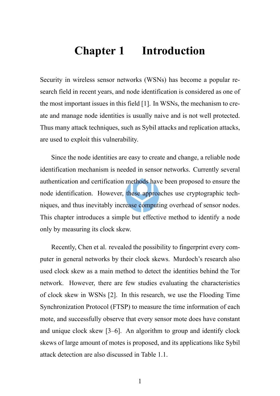### **Chapter 1 Introduction**

Security in wireless sensor networks (WSNs) has become a popular research field in recent years, and node identification is considered as one of the most important issues in this field [1]. In WSNs, the mechanism to create and manage node identities is usually naive and is not well protected. Thus many attack techniques, such as Sybil attacks and replication attacks, are used to exploit this vulnerability.

Since the node identities are easy to create and change, a reliable node identification mechanism is needed in sensor networks. Currently several authentication and certification methods have been proposed to ensure the node identification. However, these approaches use cryptographic techniques, and thus inevitably increase computing overhead of sensor nodes. This chapter introduces a simple but effective method to identify a node only by measuring its clock skew.

Recently, Chen et al. revealed the possibility to fingerprint every computer in general networks by their clock skews. Murdoch's research also used clock skew as a main method to detect the identities behind the Tor network. However, there are few studies evaluating the characteristics of clock skew in WSNs [2]. In this research, we use the Flooding Time Synchronization Protocol (FTSP) to measure the time information of each mote, and successfully observe that every sensor mote does have constant and unique clock skew [3–6]. An algorithm to group and identify clock skews of large amount of motes is proposed, and its applications like Sybil attack detection are also discussed in Table 1.1.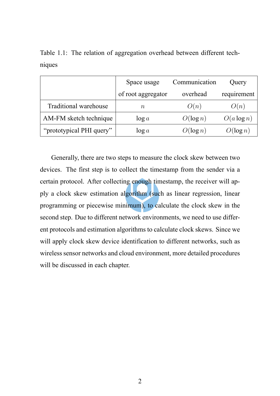|                              | Space usage        | Communication | Query         |
|------------------------------|--------------------|---------------|---------------|
|                              | of root aggregator | overhead      | requirement   |
| <b>Traditional warehouse</b> | $\it n$            | O(n)          | O(n)          |
| AM-FM sketch technique       | $\log a$           | $O(\log n)$   | $O(a \log n)$ |
| "prototypical PHI query"     | $\log a$           | $O(\log n)$   | $O(\log n)$   |

Table 1.1: The relation of aggregation overhead between different techniques

Generally, there are two steps to measure the clock skew between two devices. The first step is to collect the timestamp from the sender via a certain protocol. After collecting enough timestamp, the receiver will apply a clock skew estimation algorithm (such as linear regression, linear programming or piecewise minimum), to calculate the clock skew in the second step. Due to different network environments, we need to use different protocols and estimation algorithms to calculate clock skews. Since we will apply clock skew device identification to different networks, such as wireless sensor networks and cloud environment, more detailed procedures will be discussed in each chapter.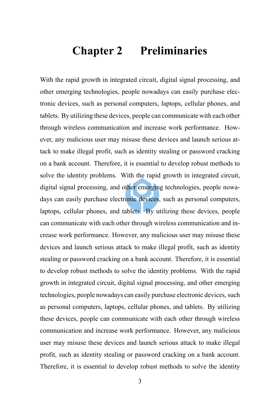### **Chapter 2 Preliminaries**

With the rapid growth in integrated circuit, digital signal processing, and other emerging technologies, people nowadays can easily purchase electronic devices, such as personal computers, laptops, cellular phones, and tablets. By utilizing these devices, people can communicate with each other through wireless communication and increase work performance. However, any malicious user may misuse these devices and launch serious attack to make illegal profit, such as identity stealing or password cracking on a bank account. Therefore, it is essential to develop robust methods to solve the identity problems. With the rapid growth in integrated circuit, digital signal processing, and other emerging technologies, people nowadays can easily purchase electronic devices, such as personal computers, laptops, cellular phones, and tablets. By utilizing these devices, people can communicate with each other through wireless communication and increase work performance. However, any malicious user may misuse these devices and launch serious attack to make illegal profit, such as identity stealing or password cracking on a bank account. Therefore, it is essential to develop robust methods to solve the identity problems. With the rapid growth in integrated circuit, digital signal processing, and other emerging technologies, people nowadays can easily purchase electronic devices, such as personal computers, laptops, cellular phones, and tablets. By utilizing these devices, people can communicate with each other through wireless communication and increase work performance. However, any malicious user may misuse these devices and launch serious attack to make illegal profit, such as identity stealing or password cracking on a bank account. Therefore, it is essential to develop robust methods to solve the identity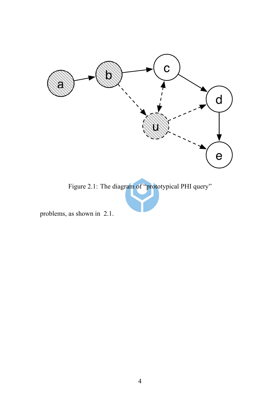

Figure 2.1: The diagram of "prototypical PHI query"

problems, as shown in 2.1.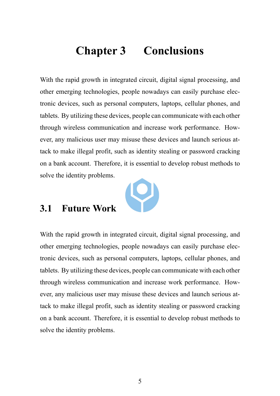### **Chapter 3 Conclusions**

With the rapid growth in integrated circuit, digital signal processing, and other emerging technologies, people nowadays can easily purchase electronic devices, such as personal computers, laptops, cellular phones, and tablets. By utilizing these devices, people can communicate with each other through wireless communication and increase work performance. However, any malicious user may misuse these devices and launch serious attack to make illegal profit, such as identity stealing or password cracking on a bank account. Therefore, it is essential to develop robust methods to solve the identity problems.



#### **3.1 Future Work**

With the rapid growth in integrated circuit, digital signal processing, and other emerging technologies, people nowadays can easily purchase electronic devices, such as personal computers, laptops, cellular phones, and tablets. By utilizing these devices, people can communicate with each other through wireless communication and increase work performance. However, any malicious user may misuse these devices and launch serious attack to make illegal profit, such as identity stealing or password cracking on a bank account. Therefore, it is essential to develop robust methods to solve the identity problems.